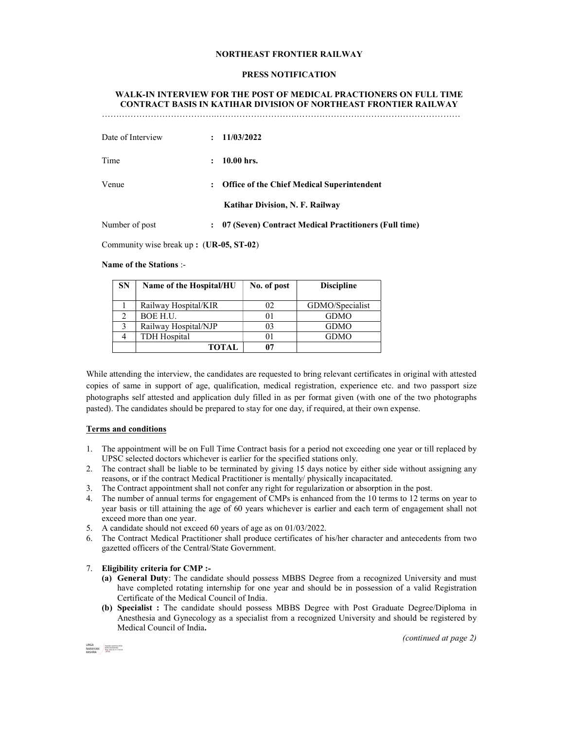### NORTHEAST FRONTIER RAILWAY

#### PRESS NOTIFICATION

# WALK-IN INTERVIEW FOR THE POST OF MEDICAL PRACTIONERS ON FULL TIME CONTRACT BASIS IN KATIHAR DIVISION OF NORTHEAST FRONTIER RAILWAY

| Date of Interview |                      | 11/03/2022                                            |
|-------------------|----------------------|-------------------------------------------------------|
| Time              |                      | $10.00$ hrs.                                          |
| Venue             | $\ddot{\phantom{a}}$ | <b>Office of the Chief Medical Superintendent</b>     |
|                   |                      | <b>Katihar Division, N. F. Railway</b>                |
| Number of post    |                      | 07 (Seven) Contract Medical Practitioners (Full time) |

Community wise break up : (UR-05, ST-02)

### Name of the Stations :-

| <b>SN</b> | Name of the Hospital/HU | No. of post | <b>Discipline</b> |
|-----------|-------------------------|-------------|-------------------|
|           | Railway Hospital/KIR    | 02          | GDMO/Specialist   |
|           | <b>BOE H.U.</b>         | 01          | <b>GDMO</b>       |
|           | Railway Hospital/NJP    | 03          | <b>GDMO</b>       |
|           | <b>TDH</b> Hospital     |             | <b>GDMO</b>       |
|           | TOTAL                   |             |                   |

While attending the interview, the candidates are requested to bring relevant certificates in original with attested copies of same in support of age, qualification, medical registration, experience etc. and two passport size photographs self attested and application duly filled in as per format given (with one of the two photographs pasted). The candidates should be prepared to stay for one day, if required, at their own expense.

### Terms and conditions

- 1. The appointment will be on Full Time Contract basis for a period not exceeding one year or till replaced by UPSC selected doctors whichever is earlier for the specified stations only.
- 2. The contract shall be liable to be terminated by giving 15 days notice by either side without assigning any reasons, or if the contract Medical Practitioner is mentally/ physically incapacitated.
- 3. The Contract appointment shall not confer any right for regularization or absorption in the post.
- 4. The number of annual terms for engagement of CMPs is enhanced from the 10 terms to 12 terms on year to year basis or till attaining the age of 60 years whichever is earlier and each term of engagement shall not exceed more than one year.
- 5. A candidate should not exceed 60 years of age as on 01/03/2022.
- 6. The Contract Medical Practitioner shall produce certificates of his/her character and antecedents from two gazetted officers of the Central/State Government.

#### 7. Eligibility criteria for CMP :-

- (a) General Duty: The candidate should possess MBBS Degree from a recognized University and must have completed rotating internship for one year and should be in possession of a valid Registration Certificate of the Medical Council of India.
- (b) Specialist : The candidate should possess MBBS Degree with Post Graduate Degree/Diploma in Anesthesia and Gynecology as a specialist from a recognized University and should be registered by Medical Council of India.

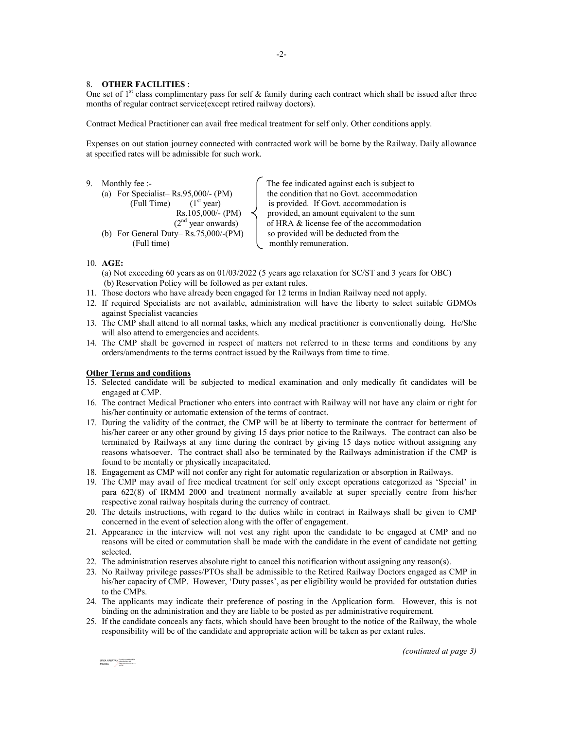#### 8. OTHER FACILITIES :

One set of  $1<sup>st</sup>$  class complimentary pass for self & family during each contract which shall be issued after three months of regular contract service(except retired railway doctors).

Contract Medical Practitioner can avail free medical treatment for self only. Other conditions apply.

Expenses on out station journey connected with contracted work will be borne by the Railway. Daily allowance at specified rates will be admissible for such work.

9. Monthly fee :-  $\int$  The fee indicated against each is subject to (a) For Specialist– Rs.95,000/- (PM) the condition that no Govt. accommodation (Full Time)  $1^{st}$  year) the condition that no Govt. accommodation is provided. If Govt. accommodation is provided, an amount equivalent to th (Full Time)  $(1<sup>st</sup> year)$  is provided. If Govt. accommodation is Rs.105,000/- (PM) provided, an amount equivalent to the sum ( $2<sup>nd</sup>$  year onwards) of HRA & license fee of the accommodation (b) For General Duty–Rs.75,000/-(PM)  $\vert$  so provided will be deducted from the (Full time) monthly remuneration.

of HRA & license fee of the accommodation

## 10. AGE:

- (a) Not exceeding 60 years as on 01/03/2022 (5 years age relaxation for SC/ST and 3 years for OBC) (b) Reservation Policy will be followed as per extant rules.
- 11. Those doctors who have already been engaged for 12 terms in Indian Railway need not apply.
- 12. If required Specialists are not available, administration will have the liberty to select suitable GDMOs against Specialist vacancies
- 13. The CMP shall attend to all normal tasks, which any medical practitioner is conventionally doing. He/She will also attend to emergencies and accidents.
- 14. The CMP shall be governed in respect of matters not referred to in these terms and conditions by any orders/amendments to the terms contract issued by the Railways from time to time.

## Other Terms and conditions

- 15. Selected candidate will be subjected to medical examination and only medically fit candidates will be engaged at CMP.
- 16. The contract Medical Practioner who enters into contract with Railway will not have any claim or right for his/her continuity or automatic extension of the terms of contract.
- 17. During the validity of the contract, the CMP will be at liberty to terminate the contract for betterment of his/her career or any other ground by giving 15 days prior notice to the Railways. The contract can also be terminated by Railways at any time during the contract by giving 15 days notice without assigning any reasons whatsoever. The contract shall also be terminated by the Railways administration if the CMP is found to be mentally or physically incapacitated.
- 18. Engagement as CMP will not confer any right for automatic regularization or absorption in Railways.
- 19. The CMP may avail of free medical treatment for self only except operations categorized as 'Special' in para 622(8) of IRMM 2000 and treatment normally available at super specially centre from his/her respective zonal railway hospitals during the currency of contract.
- 20. The details instructions, with regard to the duties while in contract in Railways shall be given to CMP concerned in the event of selection along with the offer of engagement.
- 21. Appearance in the interview will not vest any right upon the candidate to be engaged at CMP and no reasons will be cited or commutation shall be made with the candidate in the event of candidate not getting selected.
- 22. The administration reserves absolute right to cancel this notification without assigning any reason(s).
- 23. No Railway privilege passes/PTOs shall be admissible to the Retired Railway Doctors engaged as CMP in his/her capacity of CMP. However, 'Duty passes', as per eligibility would be provided for outstation duties to the CMPs.
- 24. The applicants may indicate their preference of posting in the Application form. However, this is not binding on the administration and they are liable to be posted as per administrative requirement.
- 25. If the candidate conceals any facts, which should have been brought to the notice of the Railway, the whole responsibility will be of the candidate and appropriate action will be taken as per extant rules.

URGA NARAYAN MISHRA NARAYAN MISHRA Date: 2022.02.15 13:47:10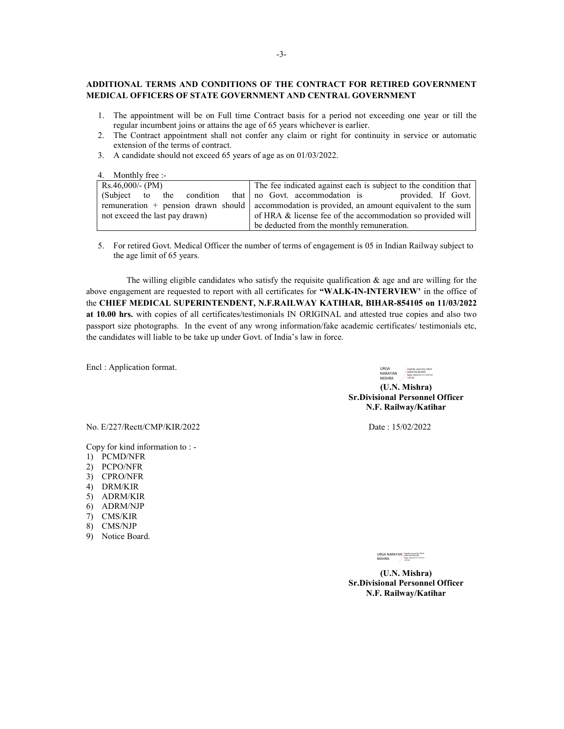## ADDITIONAL TERMS AND CONDITIONS OF THE CONTRACT FOR RETIRED GOVERNMENT MEDICAL OFFICERS OF STATE GOVERNMENT AND CENTRAL GOVERNMENT

- 1. The appointment will be on Full time Contract basis for a period not exceeding one year or till the regular incumbent joins or attains the age of 65 years whichever is earlier.
- 2. The Contract appointment shall not confer any claim or right for continuity in service or automatic extension of the terms of contract.
- 3. A candidate should not exceed 65 years of age as on 01/03/2022.

4. Monthly free :-

| $Rs.46,000/-(PM)$                                        | The fee indicated against each is subject to the condition that                                  |  |  |
|----------------------------------------------------------|--------------------------------------------------------------------------------------------------|--|--|
| (Subject to the condition that no Govt. accommodation is | provided. If Govt.                                                                               |  |  |
|                                                          | remuneration $+$ pension drawn should accommodation is provided, an amount equivalent to the sum |  |  |
| not exceed the last pay drawn)                           | of HRA & license fee of the accommodation so provided will                                       |  |  |
|                                                          | be deducted from the monthly remuneration.                                                       |  |  |

5. For retired Govt. Medical Officer the number of terms of engagement is 05 in Indian Railway subject to the age limit of 65 years.

The willing eligible candidates who satisfy the requisite qualification  $\&$  age and are willing for the above engagement are requested to report with all certificates for "WALK-IN-INTERVIEW' in the office of the CHIEF MEDICAL SUPERINTENDENT, N.F.RAILWAY KATIHAR, BIHAR-854105 on 11/03/2022 at 10.00 hrs. with copies of all certificates/testimonials IN ORIGINAL and attested true copies and also two passport size photographs. In the event of any wrong information/fake academic certificates/ testimonials etc, the candidates will liable to be take up under Govt. of India's law in force.

Encl : Application format.

URGA<br>NARAYAN<br>MISHRA Digitally signed by URGA NARAYAN MISHRA Date: 2022.02.15 13:47:32 +05'30'

(U.N. Mishra) Sr.Divisional Personnel Officer N.F. Railway/Katihar

No. E/227/Rectt/CMP/KIR/2022 Date : 15/02/2022

Copy for kind information to : -

- 1) PCMD/NFR
- 2) PCPO/NFR
- 3) CPRO/NFR
- 4) DRM/KIR
- 5) ADRM/KIR
- 6) ADRM/NJP
- 7) CMS/KIR
- 8) CMS/NJP
- 9) Notice Board.

URGA NARAYAN MISHRA Digitally signed by URGA NARAYAN MISHRA Date: 2022.02.15 13:47:51 +05'30'

(U.N. Mishra) Sr.Divisional Personnel Officer N.F. Railway/Katihar